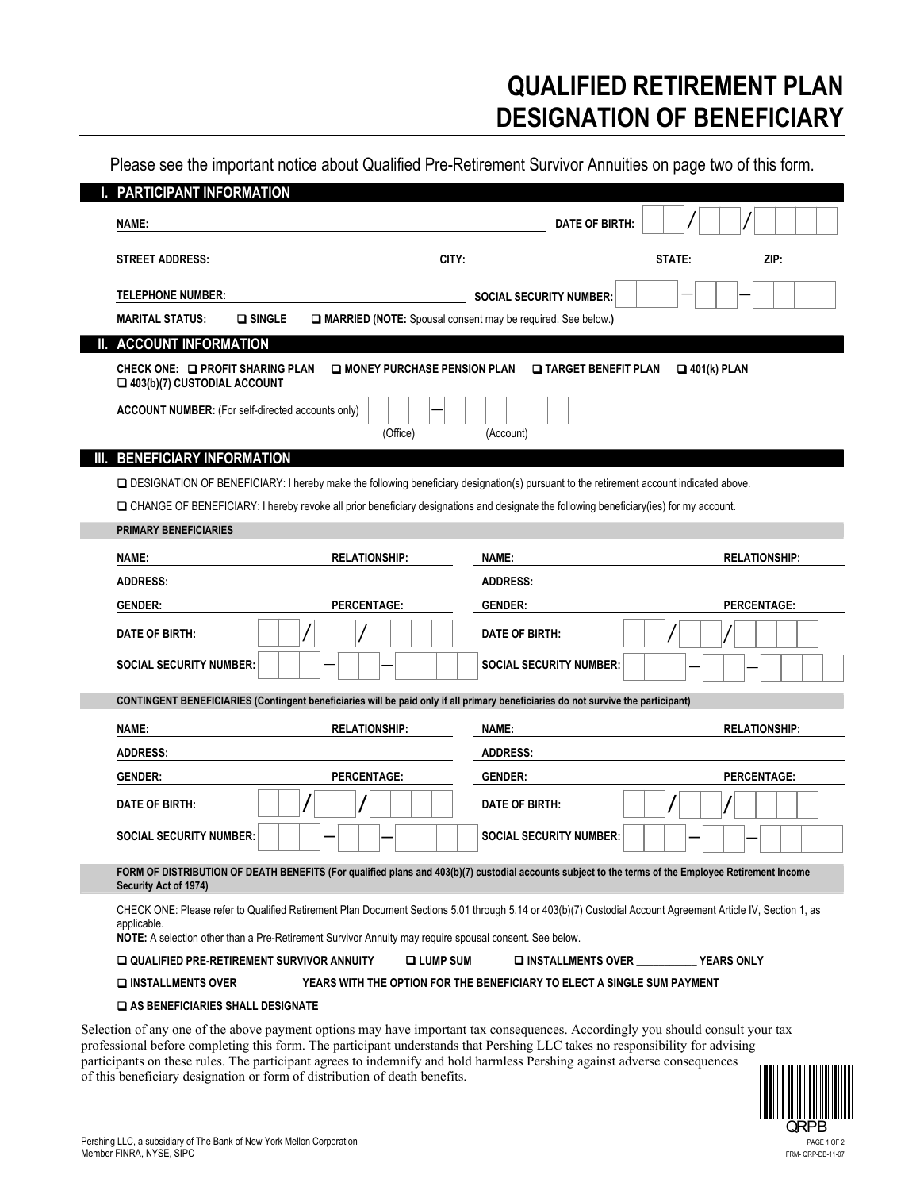# **QUALIFIED RETIREMENT PLAN DESIGNATION OF BENEFICIARY**

Please see the important notice about Qualified Pre-Retirement Survivor Annuities on page two of this form.

| PARTICIPANT INFORMATION                                          |                                                                                                                                                                                                                                                                       |                                |                      |
|------------------------------------------------------------------|-----------------------------------------------------------------------------------------------------------------------------------------------------------------------------------------------------------------------------------------------------------------------|--------------------------------|----------------------|
| NAME:                                                            |                                                                                                                                                                                                                                                                       | <b>DATE OF BIRTH:</b>          |                      |
| <b>STREET ADDRESS:</b>                                           | CITY:                                                                                                                                                                                                                                                                 |                                | STATE:<br>ZIP:       |
| <b>TELEPHONE NUMBER:</b>                                         |                                                                                                                                                                                                                                                                       | <b>SOCIAL SECURITY NUMBER:</b> |                      |
| <b>Q</b> SINGLE<br><b>MARITAL STATUS:</b>                        | MARRIED (NOTE: Spousal consent may be required. See below.)                                                                                                                                                                                                           |                                |                      |
| <b>ACCOUNT INFORMATION</b>                                       |                                                                                                                                                                                                                                                                       |                                |                      |
| CHECK ONE: LA PROFIT SHARING PLAN<br>403(b)(7) CUSTODIAL ACCOUNT | <b>LI MONEY PURCHASE PENSION PLAN</b>                                                                                                                                                                                                                                 | <b>LI TARGET BENEFIT PLAN</b>  | $\Box$ 401(k) PLAN   |
| <b>ACCOUNT NUMBER:</b> (For self-directed accounts only)         | (Office)                                                                                                                                                                                                                                                              | (Account)                      |                      |
| <b>BENEFICIARY INFORMATION</b>                                   |                                                                                                                                                                                                                                                                       |                                |                      |
|                                                                  | □ DESIGNATION OF BENEFICIARY: I hereby make the following beneficiary designation(s) pursuant to the retirement account indicated above.                                                                                                                              |                                |                      |
|                                                                  | □ CHANGE OF BENEFICIARY: I hereby revoke all prior beneficiary designations and designate the following beneficiary(ies) for my account.                                                                                                                              |                                |                      |
| <b>PRIMARY BENEFICIARIES</b>                                     |                                                                                                                                                                                                                                                                       |                                |                      |
| NAME:                                                            | <b>RELATIONSHIP:</b><br>NAME:                                                                                                                                                                                                                                         |                                | <b>RELATIONSHIP:</b> |
| <b>ADDRESS:</b>                                                  |                                                                                                                                                                                                                                                                       |                                |                      |
|                                                                  |                                                                                                                                                                                                                                                                       | <b>ADDRESS:</b>                |                      |
| <b>GENDER:</b>                                                   | PERCENTAGE:<br><b>GENDER:</b>                                                                                                                                                                                                                                         |                                | <b>PERCENTAGE:</b>   |
| DATE OF BIRTH:                                                   |                                                                                                                                                                                                                                                                       | DATE OF BIRTH:                 |                      |
| <b>SOCIAL SECURITY NUMBER:</b>                                   |                                                                                                                                                                                                                                                                       | <b>SOCIAL SECURITY NUMBER:</b> |                      |
|                                                                  | CONTINGENT BENEFICIARIES (Contingent beneficiaries will be paid only if all primary beneficiaries do not survive the participant)                                                                                                                                     |                                |                      |
| NAME:                                                            | <b>RELATIONSHIP:</b><br>NAME:                                                                                                                                                                                                                                         |                                | <b>RELATIONSHIP:</b> |
| <b>ADDRESS:</b>                                                  |                                                                                                                                                                                                                                                                       | <b>ADDRESS:</b>                |                      |
|                                                                  | <b>GENDER:</b><br><b>PERCENTAGE:</b>                                                                                                                                                                                                                                  |                                | <b>PERCENTAGE:</b>   |
| <b>GENDER:</b><br>DATE OF BIRTH:                                 |                                                                                                                                                                                                                                                                       | DATE OF BIRTH:                 |                      |
| <b>SOCIAL SECURITY NUMBER:</b>                                   |                                                                                                                                                                                                                                                                       | <b>SOCIAL SECURITY NUMBER:</b> |                      |
| Security Act of 1974)                                            | FORM OF DISTRIBUTION OF DEATH BENEFITS (For qualified plans and 403(b)(7) custodial accounts subject to the terms of the Employee Retirement Income                                                                                                                   |                                |                      |
| applicable.                                                      | CHECK ONE: Please refer to Qualified Retirement Plan Document Sections 5.01 through 5.14 or 403(b)(7) Custodial Account Agreement Article IV, Section 1, as<br>NOTE: A selection other than a Pre-Retirement Survivor Annuity may require spousal consent. See below. |                                |                      |
| QUALIFIED PRE-RETIREMENT SURVIVOR ANNUITY                        | <b>Q LUMP SUM</b>                                                                                                                                                                                                                                                     | □ INSTALLMENTS OVER YEARS ONLY |                      |

Selection of any one of the above payment options may have important tax consequences. Accordingly you should consult your tax professional before completing this form. The participant understands that Pershing LLC takes no responsibility for advising participants on these rules. The participant agrees to indemnify and hold harmless Pershing against adverse consequences of this beneficiary designation or form of distribution of death benefits.